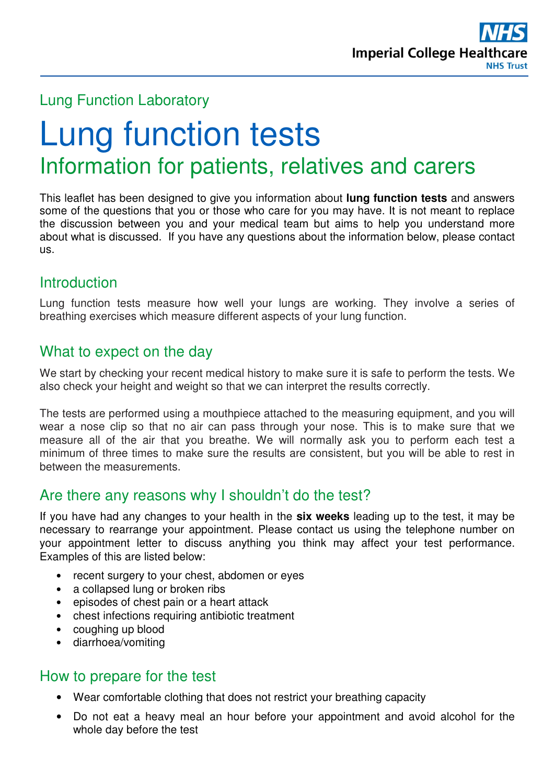

## Lung Function Laboratory

# Lung function tests Information for patients, relatives and carers

This leaflet has been designed to give you information about **lung function tests** and answers some of the questions that you or those who care for you may have. It is not meant to replace the discussion between you and your medical team but aims to help you understand more about what is discussed. If you have any questions about the information below, please contact us.

# **Introduction**

Lung function tests measure how well your lungs are working. They involve a series of breathing exercises which measure different aspects of your lung function.

## What to expect on the day

We start by checking your recent medical history to make sure it is safe to perform the tests. We also check your height and weight so that we can interpret the results correctly.

The tests are performed using a mouthpiece attached to the measuring equipment, and you will wear a nose clip so that no air can pass through your nose. This is to make sure that we measure all of the air that you breathe. We will normally ask you to perform each test a minimum of three times to make sure the results are consistent, but you will be able to rest in between the measurements.

# Are there any reasons why I shouldn't do the test?

If you have had any changes to your health in the **six weeks** leading up to the test, it may be necessary to rearrange your appointment. Please contact us using the telephone number on your appointment letter to discuss anything you think may affect your test performance. Examples of this are listed below:

- recent surgery to your chest, abdomen or eyes
- a collapsed lung or broken ribs
- episodes of chest pain or a heart attack
- chest infections requiring antibiotic treatment
- coughing up blood
- diarrhoea/vomiting

#### How to prepare for the test

- Wear comfortable clothing that does not restrict your breathing capacity
- Do not eat a heavy meal an hour before your appointment and avoid alcohol for the whole day before the test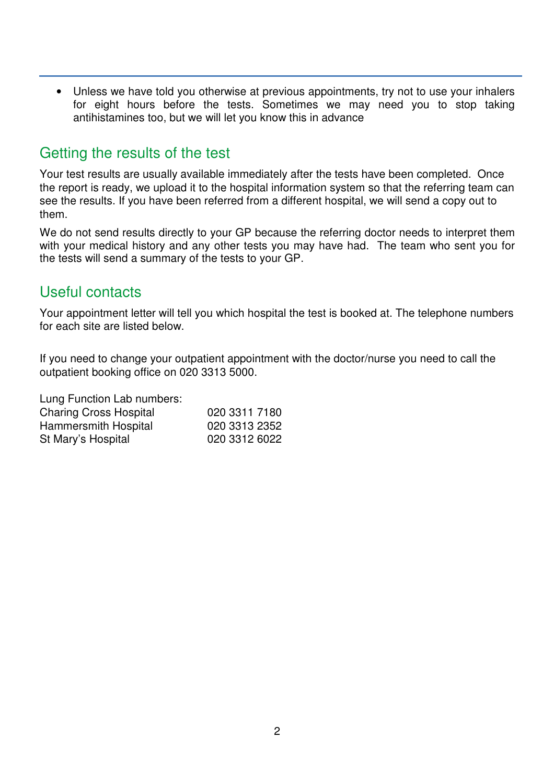• Unless we have told you otherwise at previous appointments, try not to use your inhalers for eight hours before the tests. Sometimes we may need you to stop taking antihistamines too, but we will let you know this in advance

## Getting the results of the test

Your test results are usually available immediately after the tests have been completed. Once the report is ready, we upload it to the hospital information system so that the referring team can see the results. If you have been referred from a different hospital, we will send a copy out to them.

We do not send results directly to your GP because the referring doctor needs to interpret them with your medical history and any other tests you may have had. The team who sent you for the tests will send a summary of the tests to your GP.

## Useful contacts

Your appointment letter will tell you which hospital the test is booked at. The telephone numbers for each site are listed below.

If you need to change your outpatient appointment with the doctor/nurse you need to call the outpatient booking office on 020 3313 5000.

Lung Function Lab numbers:

| <b>Charing Cross Hospital</b> | 020 3311 7180 |
|-------------------------------|---------------|
| Hammersmith Hospital          | 020 3313 2352 |
| St Mary's Hospital            | 020 3312 6022 |